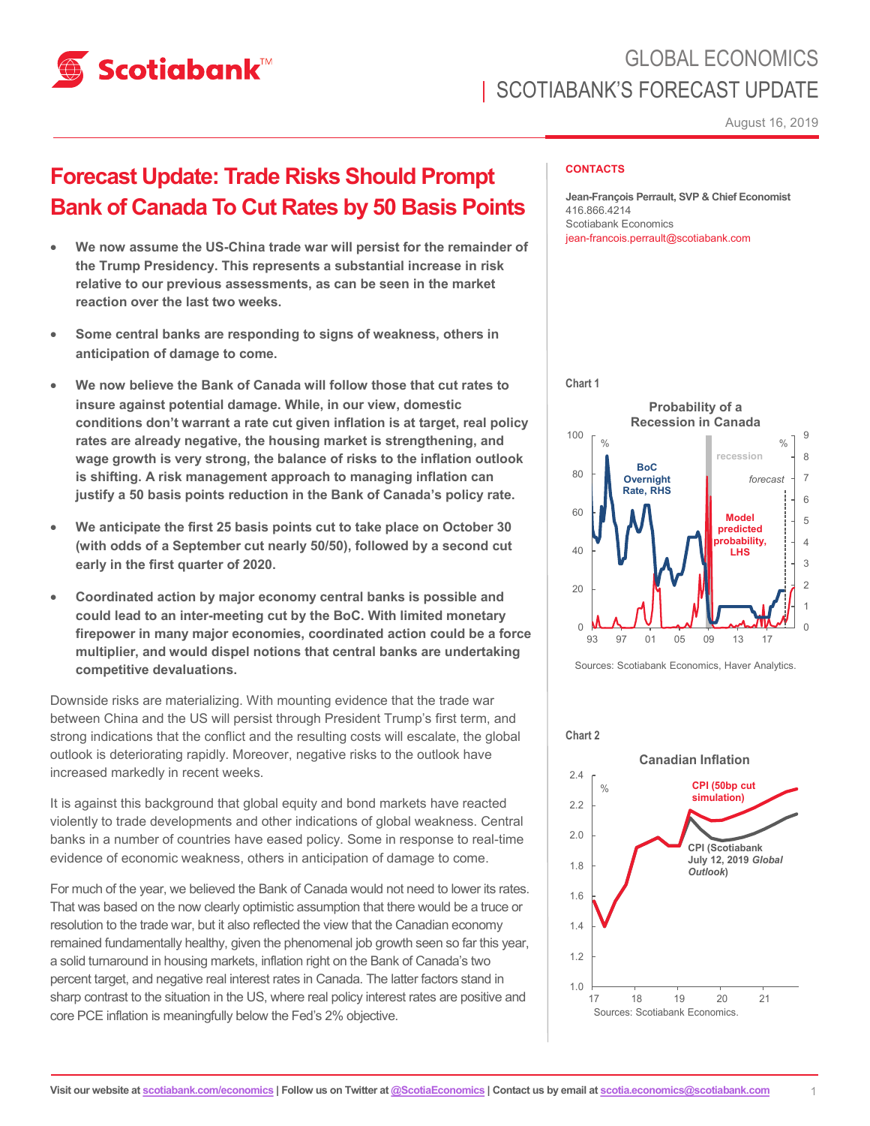

# GLOBAL ECONOMICS SCOTIABANK'S FORECAST UPDATE

August 16, 2019

## **Forecast Update: Trade Risks Should Prompt Bank of Canada To Cut Rates by 50 Basis Points**

- **We now assume the US-China trade war will persist for the remainder of the Trump Presidency. This represents a substantial increase in risk relative to our previous assessments, as can be seen in the market reaction over the last two weeks.**
- **Some central banks are responding to signs of weakness, others in anticipation of damage to come.**
- **We now believe the Bank of Canada will follow those that cut rates to insure against potential damage. While, in our view, domestic conditions don't warrant a rate cut given inflation is at target, real policy rates are already negative, the housing market is strengthening, and wage growth is very strong, the balance of risks to the inflation outlook is shifting. A risk management approach to managing inflation can justify a 50 basis points reduction in the Bank of Canada's policy rate.**
- **We anticipate the first 25 basis points cut to take place on October 30 (with odds of a September cut nearly 50/50), followed by a second cut early in the first quarter of 2020.**
- **Coordinated action by major economy central banks is possible and could lead to an inter-meeting cut by the BoC. With limited monetary firepower in many major economies, coordinated action could be a force multiplier, and would dispel notions that central banks are undertaking competitive devaluations.**

Downside risks are materializing. With mounting evidence that the trade war between China and the US will persist through President Trump's first term, and strong indications that the conflict and the resulting costs will escalate, the global outlook is deteriorating rapidly. Moreover, negative risks to the outlook have increased markedly in recent weeks.

It is against this background that global equity and bond markets have reacted violently to trade developments and other indications of global weakness. Central banks in a number of countries have eased policy. Some in response to real-time evidence of economic weakness, others in anticipation of damage to come.

For much of the year, we believed the Bank of Canada would not need to lower its rates. That was based on the now clearly optimistic assumption that there would be a truce or resolution to the trade war, but it also reflected the view that the Canadian economy remained fundamentally healthy, given the phenomenal job growth seen so far this year, a solid turnaround in housing markets, inflation right on the Bank of Canada's two percent target, and negative real interest rates in Canada. The latter factors stand in sharp contrast to the situation in the US, where real policy interest rates are positive and core PCE inflation is meaningfully below the Fed's 2% objective.

#### **CONTACTS**

**Jean-François Perrault, SVP & Chief Economist** 416.866.4214 Scotiabank Economics jean-francois.perrault@scotiabank.com



Sources: Scotiabank Economics, Haver Analytics.

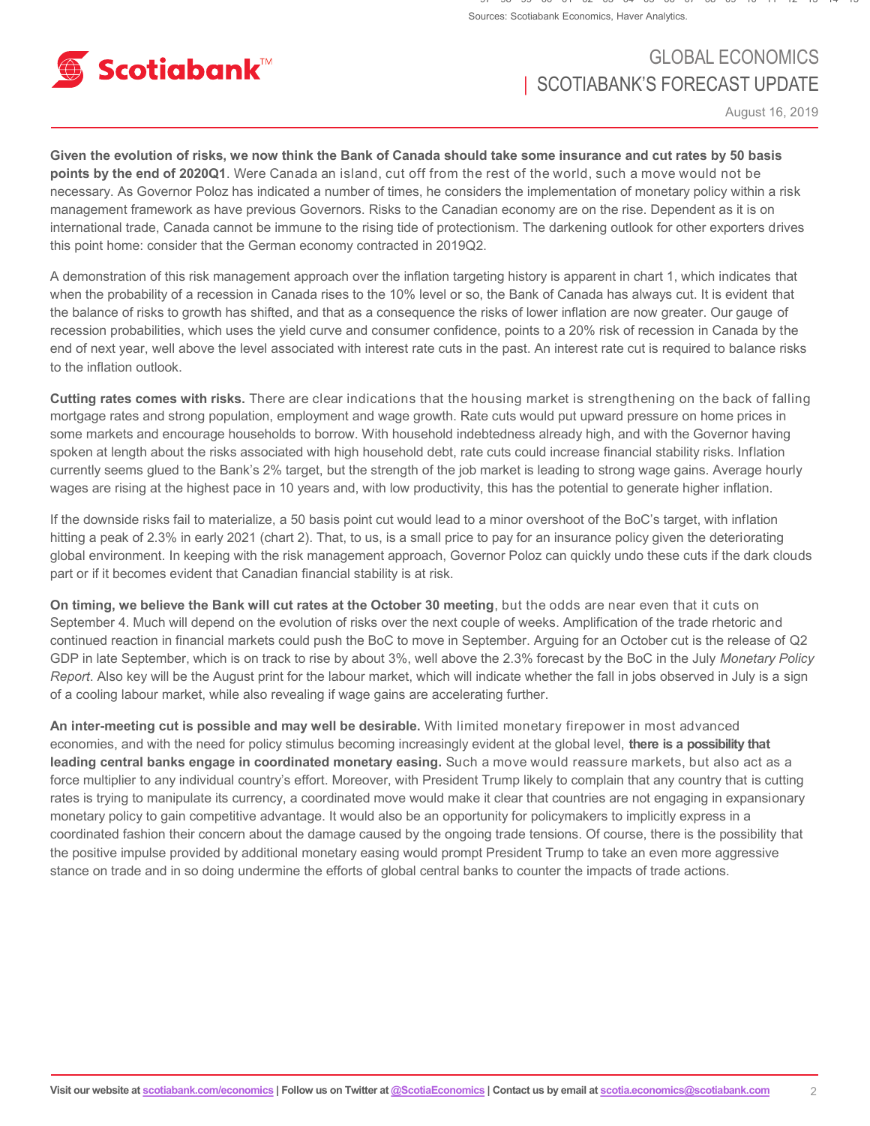

### GLOBAL ECONOMICS | SCOTIABANK'S FORECAST UPDATE

August 16, 2019

**Given the evolution of risks, we now think the Bank of Canada should take some insurance and cut rates by 50 basis points by the end of 2020Q1**. Were Canada an island, cut off from the rest of the world, such a move would not be necessary. As Governor Poloz has indicated a number of times, he considers the implementation of monetary policy within a risk management framework as have previous Governors. Risks to the Canadian economy are on the rise. Dependent as it is on international trade, Canada cannot be immune to the rising tide of protectionism. The darkening outlook for other exporters drives this point home: consider that the German economy contracted in 2019Q2.

A demonstration of this risk management approach over the inflation targeting history is apparent in chart 1, which indicates that when the probability of a recession in Canada rises to the 10% level or so, the Bank of Canada has always cut. It is evident that the balance of risks to growth has shifted, and that as a consequence the risks of lower inflation are now greater. Our gauge of recession probabilities, which uses the yield curve and consumer confidence, points to a 20% risk of recession in Canada by the end of next year, well above the level associated with interest rate cuts in the past. An interest rate cut is required to balance risks to the inflation outlook.

**Cutting rates comes with risks.** There are clear indications that the housing market is strengthening on the back of falling mortgage rates and strong population, employment and wage growth. Rate cuts would put upward pressure on home prices in some markets and encourage households to borrow. With household indebtedness already high, and with the Governor having spoken at length about the risks associated with high household debt, rate cuts could increase financial stability risks. Inflation currently seems glued to the Bank's 2% target, but the strength of the job market is leading to strong wage gains. Average hourly wages are rising at the highest pace in 10 years and, with low productivity, this has the potential to generate higher inflation.

If the downside risks fail to materialize, a 50 basis point cut would lead to a minor overshoot of the BoC's target, with inflation hitting a peak of 2.3% in early 2021 (chart 2). That, to us, is a small price to pay for an insurance policy given the deteriorating global environment. In keeping with the risk management approach, Governor Poloz can quickly undo these cuts if the dark clouds part or if it becomes evident that Canadian financial stability is at risk.

**On timing, we believe the Bank will cut rates at the October 30 meeting**, but the odds are near even that it cuts on September 4. Much will depend on the evolution of risks over the next couple of weeks. Amplification of the trade rhetoric and continued reaction in financial markets could push the BoC to move in September. Arguing for an October cut is the release of Q2 GDP in late September, which is on track to rise by about 3%, well above the 2.3% forecast by the BoC in the July *Monetary Policy Report*. Also key will be the August print for the labour market, which will indicate whether the fall in jobs observed in July is a sign of a cooling labour market, while also revealing if wage gains are accelerating further.

**An inter-meeting cut is possible and may well be desirable.** With limited monetary firepower in most advanced economies, and with the need for policy stimulus becoming increasingly evident at the global level, **there is a possibility that leading central banks engage in coordinated monetary easing.** Such a move would reassure markets, but also act as a force multiplier to any individual country's effort. Moreover, with President Trump likely to complain that any country that is cutting rates is trying to manipulate its currency, a coordinated move would make it clear that countries are not engaging in expansionary monetary policy to gain competitive advantage. It would also be an opportunity for policymakers to implicitly express in a coordinated fashion their concern about the damage caused by the ongoing trade tensions. Of course, there is the possibility that the positive impulse provided by additional monetary easing would prompt President Trump to take an even more aggressive stance on trade and in so doing undermine the efforts of global central banks to counter the impacts of trade actions.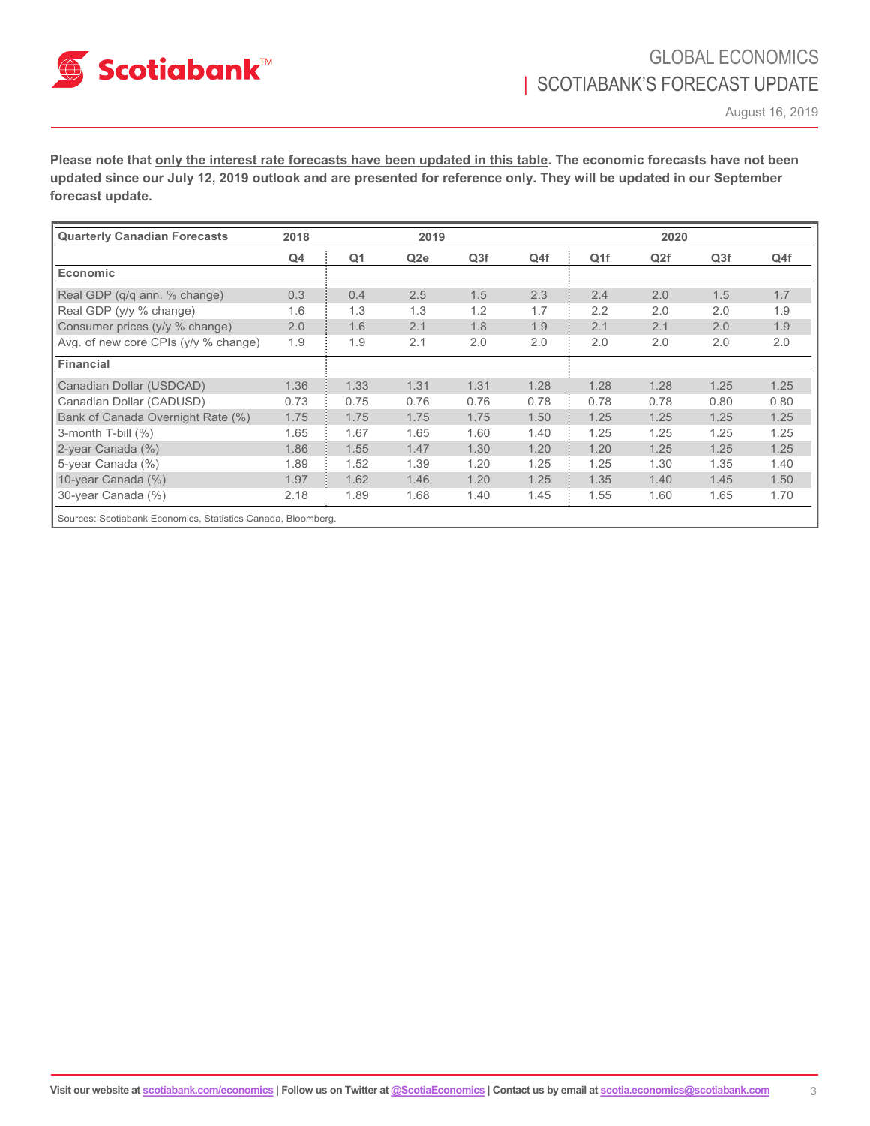

August 16, 2019

**Please note that only the interest rate forecasts have been updated in this table. The economic forecasts have not been updated since our July 12, 2019 outlook and are presented for reference only. They will be updated in our September forecast update.** 

| <b>Quarterly Canadian Forecasts</b>                          | 2018 | 2019           |                 |      | 2020 |                 |      |                 |      |
|--------------------------------------------------------------|------|----------------|-----------------|------|------|-----------------|------|-----------------|------|
|                                                              | Q4   | Q <sub>1</sub> | Q <sub>2e</sub> | Q3f  | Q4f  | Q <sub>1f</sub> | Q2f  | Q <sub>3f</sub> | Q4f  |
| <b>Economic</b>                                              |      |                |                 |      |      |                 |      |                 |      |
| Real GDP (q/q ann. % change)                                 | 0.3  | 0.4            | 2.5             | 1.5  | 2.3  | 2.4             | 2.0  | 1.5             | 1.7  |
| Real GDP (y/y % change)                                      | 1.6  | 1.3            | 1.3             | 1.2  | 1.7  | 2.2             | 2.0  | 2.0             | 1.9  |
| Consumer prices (y/y % change)                               | 2.0  | 1.6            | 2.1             | 1.8  | 1.9  | 2.1             | 2.1  | 2.0             | 1.9  |
| Avg. of new core CPIs (y/y % change)                         | 1.9  | 1.9            | 2.1             | 2.0  | 2.0  | 2.0             | 2.0  | 2.0             | 2.0  |
| Financial                                                    |      |                |                 |      |      |                 |      |                 |      |
| Canadian Dollar (USDCAD)                                     | 1.36 | 1.33           | 1.31            | 1.31 | 1.28 | 1.28            | 1.28 | 1.25            | 1.25 |
| Canadian Dollar (CADUSD)                                     | 0.73 | 0.75           | 0.76            | 0.76 | 0.78 | 0.78            | 0.78 | 0.80            | 0.80 |
| Bank of Canada Overnight Rate (%)                            | 1.75 | 1.75           | 1.75            | 1.75 | 1.50 | 1.25            | 1.25 | 1.25            | 1.25 |
| 3-month T-bill (%)                                           | 1.65 | 1.67           | 1.65            | 1.60 | 1.40 | 1.25            | 1.25 | 1.25            | 1.25 |
| 2-year Canada (%)                                            | 1.86 | 1.55           | 1.47            | 1.30 | 1.20 | 1.20            | 1.25 | 1.25            | 1.25 |
| 5-year Canada (%)                                            | 1.89 | 1.52           | 1.39            | 1.20 | 1.25 | 1.25            | 1.30 | 1.35            | 1.40 |
| 10-year Canada (%)                                           | 1.97 | 1.62           | 1.46            | 1.20 | 1.25 | 1.35            | 1.40 | 1.45            | 1.50 |
| 30-year Canada (%)                                           | 2.18 | 1.89           | 1.68            | 1.40 | 1.45 | 1.55            | 1.60 | 1.65            | 1.70 |
| Sources: Scotiabank Economics, Statistics Canada, Bloomberg. |      |                |                 |      |      |                 |      |                 |      |